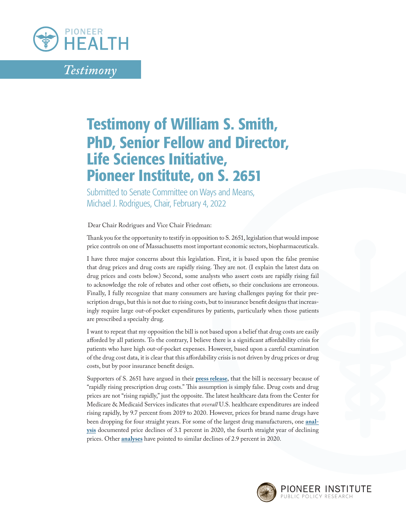

*Testimony*

## Testimony of William S. Smith, PhD, Senior Fellow and Director, Life Sciences Initiative, Pioneer Institute, on S. 2651

Submitted to Senate Committee on Ways and Means, Michael J. Rodrigues, Chair, February 4, 2022

` Dear Chair Rodrigues and Vice Chair Friedman:

Thank you for the opportunity to testify in opposition to S. 2651, legislation that would impose price controls on one of Massachusetts most important economic sectors, biopharmaceuticals.

I have three major concerns about this legislation. First, it is based upon the false premise that drug prices and drug costs are rapidly rising. They are not. (I explain the latest data on drug prices and costs below.) Second, some analysts who assert costs are rapidly rising fail to acknowledge the role of rebates and other cost offsets, so their conclusions are erroneous. Finally, I fully recognize that many consumers are having challenges paying for their prescription drugs, but this is not due to rising costs, but to insurance benefit designs that increasingly require large out-of-pocket expenditures by patients, particularly when those patients are prescribed a specialty drug.

I want to repeat that my opposition the bill is not based upon a belief that drug costs are easily afforded by all patients. To the contrary, I believe there is a significant affordability crisis for patients who have high out-of-pocket expenses. However, based upon a careful examination of the drug cost data, it is clear that this affordability crisis is not driven by drug prices or drug costs, but by poor insurance benefit design.

Supporters of S. 2651 have argued in their **[press release](https://cindyfriedman.org/wp-content/uploads/2022/02/02.03.2022-FINAL-PACT-Act-2022-Fact-Sheet.pdf)**, that the bill is necessary because of "rapidly rising prescription drug costs." This assumption is simply false. Drug costs and drug prices are not "rising rapidly," just the opposite. The latest healthcare data from the Center for Medicare & Medicaid Services indicates that *overall* U.S. healthcare expenditures are indeed rising rapidly, by 9.7 percent from 2019 to 2020. However, prices for brand name drugs have been dropping for four straight years. For some of the largest drug manufacturers, one **[anal](https://www.drugchannels.net/2021/04/gross-to-net-bubble-update-net-prices.html)[ysis](https://www.drugchannels.net/2021/04/gross-to-net-bubble-update-net-prices.html)** documented price declines of 3.1 percent in 2020, the fourth straight year of declining prices. Other **[analyses](https://www.iqvia.com/insights/the-iqvia-institute/reports/the-use-of-medicines-in-the-us)** have pointed to similar declines of 2.9 percent in 2020.